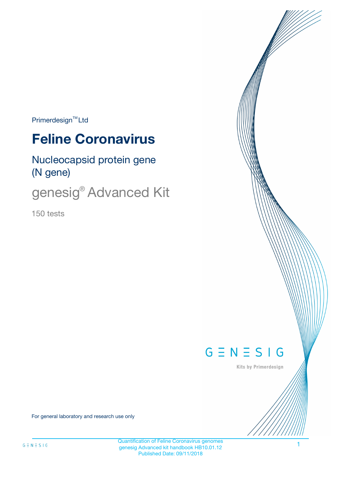$Primerdesign^{\text{TM}}Ltd$ 

# **Feline Coronavirus**

Nucleocapsid protein gene (N gene)

genesig<sup>®</sup> Advanced Kit

150 tests



Kits by Primerdesign

For general laboratory and research use only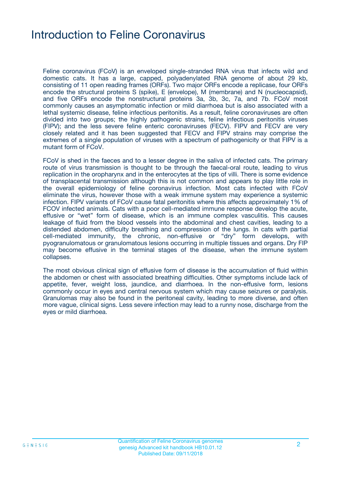### Introduction to Feline Coronavirus

Feline coronavirus (FCoV) is an enveloped single-stranded RNA virus that infects wild and domestic cats. It has a large, capped, polyadenylated RNA genome of about 29 kb, consisting of 11 open reading frames (ORFs). Two major ORFs encode a replicase, four ORFs encode the structural proteins S (spike), E (envelope), M (membrane) and N (nucleocapsid), and five ORFs encode the nonstructural proteins 3a, 3b, 3c, 7a, and 7b. FCoV most commonly causes an asymptomatic infection or mild diarrhoea but is also associated with a lethal systemic disease, feline infectious peritonitis. As a result, feline coronaviruses are often divided into two groups; the highly pathogenic strains, feline infectious peritonitis viruses (FIPV); and the less severe feline enteric coronaviruses (FECV). FIPV and FECV are very closely related and it has been suggested that FECV and FIPV strains may comprise the extremes of a single population of viruses with a spectrum of pathogenicity or that FIPV is a mutant form of FCoV.

FCoV is shed in the faeces and to a lesser degree in the saliva of infected cats. The primary route of virus transmission is thought to be through the faecal-oral route, leading to virus replication in the oropharynx and in the enterocytes at the tips of villi. There is some evidence of transplacental transmission although this is not common and appears to play little role in the overall epidemiology of feline coronavirus infection. Most cats infected with FCoV eliminate the virus, however those with a weak immune system may experience a systemic infection. FIPV variants of FCoV cause fatal peritonitis where this affects approximately 1% of FCOV infected animals. Cats with a poor cell-mediated immune response develop the acute, effusive or "wet" form of disease, which is an immune complex vasculitis. This causes leakage of fluid from the blood vessels into the abdominal and chest cavities, leading to a distended abdomen, difficulty breathing and compression of the lungs. In cats with partial cell-mediated immunity, the chronic, non-effusive or "dry" form develops, with pyogranulomatous or granulomatous lesions occurring in multiple tissues and organs. Dry FIP may become effusive in the terminal stages of the disease, when the immune system collapses.

The most obvious clinical sign of effusive form of disease is the accumulation of fluid within the abdomen or chest with associated breathing difficulties. Other symptoms include lack of appetite, fever, weight loss, jaundice, and diarrhoea. In the non-effusive form, lesions commonly occur in eyes and central nervous system which may cause seizures or paralysis. Granulomas may also be found in the peritoneal cavity, leading to more diverse, and often more vague, clinical signs. Less severe infection may lead to a runny nose, discharge from the eyes or mild diarrhoea.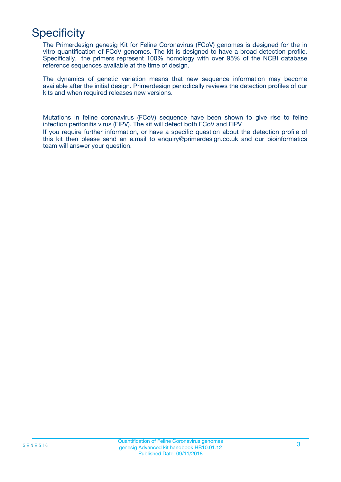# **Specificity**

The Primerdesign genesig Kit for Feline Coronavirus (FCoV) genomes is designed for the in vitro quantification of FCoV genomes. The kit is designed to have a broad detection profile. Specifically, the primers represent 100% homology with over 95% of the NCBI database reference sequences available at the time of design.

The dynamics of genetic variation means that new sequence information may become available after the initial design. Primerdesign periodically reviews the detection profiles of our kits and when required releases new versions.

Mutations in feline coronavirus (FCoV) sequence have been shown to give rise to feline infection peritonitis virus (FIPV). The kit will detect both FCoV and FIPV

If you require further information, or have a specific question about the detection profile of this kit then please send an e.mail to enquiry@primerdesign.co.uk and our bioinformatics team will answer your question.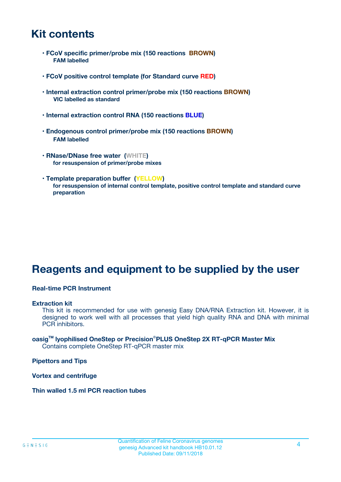### **Kit contents**

- **FCoV specific primer/probe mix (150 reactions BROWN) FAM labelled**
- **FCoV positive control template (for Standard curve RED)**
- **Internal extraction control primer/probe mix (150 reactions BROWN) VIC labelled as standard**
- **Internal extraction control RNA (150 reactions BLUE)**
- **Endogenous control primer/probe mix (150 reactions BROWN) FAM labelled**
- **RNase/DNase free water (WHITE) for resuspension of primer/probe mixes**
- **Template preparation buffer (YELLOW) for resuspension of internal control template, positive control template and standard curve preparation**

### **Reagents and equipment to be supplied by the user**

#### **Real-time PCR Instrument**

#### **Extraction kit**

This kit is recommended for use with genesig Easy DNA/RNA Extraction kit. However, it is designed to work well with all processes that yield high quality RNA and DNA with minimal PCR inhibitors.

#### **oasigTM lyophilised OneStep or Precision**®**PLUS OneStep 2X RT-qPCR Master Mix** Contains complete OneStep RT-qPCR master mix

**Pipettors and Tips**

**Vortex and centrifuge**

**Thin walled 1.5 ml PCR reaction tubes**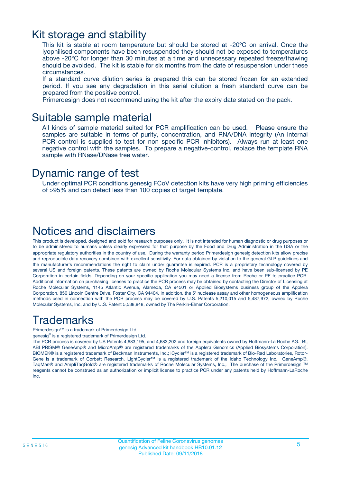### Kit storage and stability

This kit is stable at room temperature but should be stored at -20ºC on arrival. Once the lyophilised components have been resuspended they should not be exposed to temperatures above -20°C for longer than 30 minutes at a time and unnecessary repeated freeze/thawing should be avoided. The kit is stable for six months from the date of resuspension under these circumstances.

If a standard curve dilution series is prepared this can be stored frozen for an extended period. If you see any degradation in this serial dilution a fresh standard curve can be prepared from the positive control.

Primerdesign does not recommend using the kit after the expiry date stated on the pack.

### Suitable sample material

All kinds of sample material suited for PCR amplification can be used. Please ensure the samples are suitable in terms of purity, concentration, and RNA/DNA integrity (An internal PCR control is supplied to test for non specific PCR inhibitors). Always run at least one negative control with the samples. To prepare a negative-control, replace the template RNA sample with RNase/DNase free water.

### Dynamic range of test

Under optimal PCR conditions genesig FCoV detection kits have very high priming efficiencies of >95% and can detect less than 100 copies of target template.

### Notices and disclaimers

This product is developed, designed and sold for research purposes only. It is not intended for human diagnostic or drug purposes or to be administered to humans unless clearly expressed for that purpose by the Food and Drug Administration in the USA or the appropriate regulatory authorities in the country of use. During the warranty period Primerdesign genesig detection kits allow precise and reproducible data recovery combined with excellent sensitivity. For data obtained by violation to the general GLP guidelines and the manufacturer's recommendations the right to claim under guarantee is expired. PCR is a proprietary technology covered by several US and foreign patents. These patents are owned by Roche Molecular Systems Inc. and have been sub-licensed by PE Corporation in certain fields. Depending on your specific application you may need a license from Roche or PE to practice PCR. Additional information on purchasing licenses to practice the PCR process may be obtained by contacting the Director of Licensing at Roche Molecular Systems, 1145 Atlantic Avenue, Alameda, CA 94501 or Applied Biosystems business group of the Applera Corporation, 850 Lincoln Centre Drive, Foster City, CA 94404. In addition, the 5' nuclease assay and other homogeneous amplification methods used in connection with the PCR process may be covered by U.S. Patents 5,210,015 and 5,487,972, owned by Roche Molecular Systems, Inc, and by U.S. Patent 5,538,848, owned by The Perkin-Elmer Corporation.

### Trademarks

Primerdesign™ is a trademark of Primerdesign Ltd.

genesig® is a registered trademark of Primerdesign Ltd.

The PCR process is covered by US Patents 4,683,195, and 4,683,202 and foreign equivalents owned by Hoffmann-La Roche AG. BI, ABI PRISM® GeneAmp® and MicroAmp® are registered trademarks of the Applera Genomics (Applied Biosystems Corporation). BIOMEK® is a registered trademark of Beckman Instruments, Inc.; iCycler™ is a registered trademark of Bio-Rad Laboratories, Rotor-Gene is a trademark of Corbett Research. LightCycler™ is a registered trademark of the Idaho Technology Inc. GeneAmp®, TaqMan® and AmpliTaqGold® are registered trademarks of Roche Molecular Systems, Inc., The purchase of the Primerdesign ™ reagents cannot be construed as an authorization or implicit license to practice PCR under any patents held by Hoffmann-LaRoche Inc.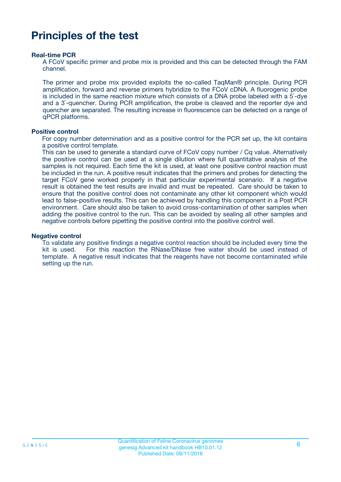### **Principles of the test**

#### **Real-time PCR**

A FCoV specific primer and probe mix is provided and this can be detected through the FAM channel.

The primer and probe mix provided exploits the so-called TaqMan® principle. During PCR amplification, forward and reverse primers hybridize to the FCoV cDNA. A fluorogenic probe is included in the same reaction mixture which consists of a DNA probe labeled with a 5`-dye and a 3`-quencher. During PCR amplification, the probe is cleaved and the reporter dye and quencher are separated. The resulting increase in fluorescence can be detected on a range of qPCR platforms.

#### **Positive control**

For copy number determination and as a positive control for the PCR set up, the kit contains a positive control template.

This can be used to generate a standard curve of FCoV copy number / Cq value. Alternatively the positive control can be used at a single dilution where full quantitative analysis of the samples is not required. Each time the kit is used, at least one positive control reaction must be included in the run. A positive result indicates that the primers and probes for detecting the target FCoV gene worked properly in that particular experimental scenario. If a negative result is obtained the test results are invalid and must be repeated. Care should be taken to ensure that the positive control does not contaminate any other kit component which would lead to false-positive results. This can be achieved by handling this component in a Post PCR environment. Care should also be taken to avoid cross-contamination of other samples when adding the positive control to the run. This can be avoided by sealing all other samples and negative controls before pipetting the positive control into the positive control well.

#### **Negative control**

To validate any positive findings a negative control reaction should be included every time the kit is used. For this reaction the RNase/DNase free water should be used instead of template. A negative result indicates that the reagents have not become contaminated while setting up the run.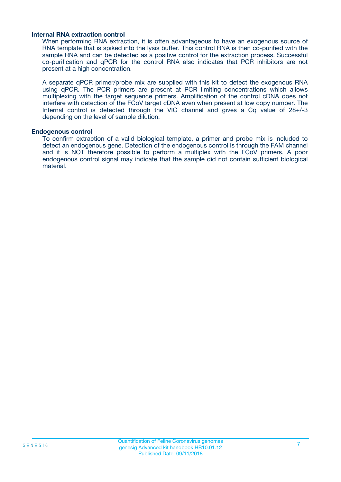#### **Internal RNA extraction control**

When performing RNA extraction, it is often advantageous to have an exogenous source of RNA template that is spiked into the lysis buffer. This control RNA is then co-purified with the sample RNA and can be detected as a positive control for the extraction process. Successful co-purification and qPCR for the control RNA also indicates that PCR inhibitors are not present at a high concentration.

A separate qPCR primer/probe mix are supplied with this kit to detect the exogenous RNA using qPCR. The PCR primers are present at PCR limiting concentrations which allows multiplexing with the target sequence primers. Amplification of the control cDNA does not interfere with detection of the FCoV target cDNA even when present at low copy number. The Internal control is detected through the VIC channel and gives a Cq value of 28+/-3 depending on the level of sample dilution.

#### **Endogenous control**

To confirm extraction of a valid biological template, a primer and probe mix is included to detect an endogenous gene. Detection of the endogenous control is through the FAM channel and it is NOT therefore possible to perform a multiplex with the FCoV primers. A poor endogenous control signal may indicate that the sample did not contain sufficient biological material.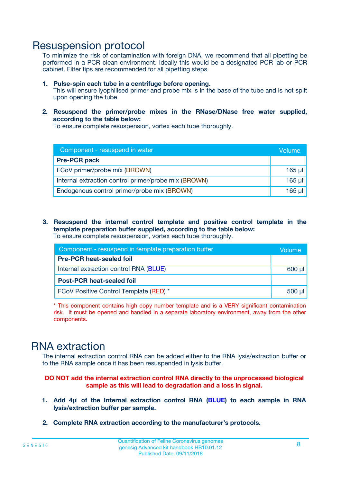### Resuspension protocol

To minimize the risk of contamination with foreign DNA, we recommend that all pipetting be performed in a PCR clean environment. Ideally this would be a designated PCR lab or PCR cabinet. Filter tips are recommended for all pipetting steps.

- **1. Pulse-spin each tube in a centrifuge before opening.** This will ensure lyophilised primer and probe mix is in the base of the tube and is not spilt upon opening the tube.
- **2. Resuspend the primer/probe mixes in the RNase/DNase free water supplied, according to the table below:**

To ensure complete resuspension, vortex each tube thoroughly.

| Component - resuspend in water                       | Volume   |
|------------------------------------------------------|----------|
| <b>Pre-PCR pack</b>                                  |          |
| FCoV primer/probe mix (BROWN)                        | $165$ µl |
| Internal extraction control primer/probe mix (BROWN) | $165$ µl |
| Endogenous control primer/probe mix (BROWN)          | 165 µl   |

**3. Resuspend the internal control template and positive control template in the template preparation buffer supplied, according to the table below:** To ensure complete resuspension, vortex each tube thoroughly.

| Component - resuspend in template preparation buffer |             |  |  |
|------------------------------------------------------|-------------|--|--|
| <b>Pre-PCR heat-sealed foil</b>                      |             |  |  |
| Internal extraction control RNA (BLUE)               |             |  |  |
| <b>Post-PCR heat-sealed foil</b>                     |             |  |  |
| FCoV Positive Control Template (RED) *               | $500$ $\mu$ |  |  |

\* This component contains high copy number template and is a VERY significant contamination risk. It must be opened and handled in a separate laboratory environment, away from the other components.

### RNA extraction

The internal extraction control RNA can be added either to the RNA lysis/extraction buffer or to the RNA sample once it has been resuspended in lysis buffer.

#### **DO NOT add the internal extraction control RNA directly to the unprocessed biological sample as this will lead to degradation and a loss in signal.**

- **1. Add 4µ**l **of the Internal extraction control RNA (BLUE) to each sample in RNA lysis/extraction buffer per sample.**
- **2. Complete RNA extraction according to the manufacturer's protocols.**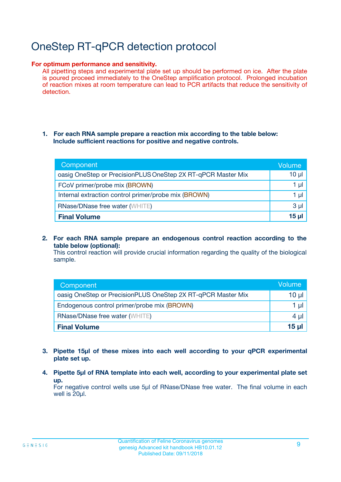# OneStep RT-qPCR detection protocol

#### **For optimum performance and sensitivity.**

All pipetting steps and experimental plate set up should be performed on ice. After the plate is poured proceed immediately to the OneStep amplification protocol. Prolonged incubation of reaction mixes at room temperature can lead to PCR artifacts that reduce the sensitivity of detection.

#### **1. For each RNA sample prepare a reaction mix according to the table below: Include sufficient reactions for positive and negative controls.**

| Component                                                    | <b>Volume</b> |
|--------------------------------------------------------------|---------------|
| oasig OneStep or PrecisionPLUS OneStep 2X RT-qPCR Master Mix | $10 \mu$      |
| FCoV primer/probe mix (BROWN)                                | 1 µI          |
| Internal extraction control primer/probe mix (BROWN)         | 1 µl          |
| <b>RNase/DNase free water (WHITE)</b>                        | $3 \mu$       |
| <b>Final Volume</b>                                          | 15 µl         |

**2. For each RNA sample prepare an endogenous control reaction according to the table below (optional):**

This control reaction will provide crucial information regarding the quality of the biological sample.

| Component                                                    | Volume   |
|--------------------------------------------------------------|----------|
| oasig OneStep or PrecisionPLUS OneStep 2X RT-qPCR Master Mix | 10 $\mu$ |
| Endogenous control primer/probe mix (BROWN)                  | 1 ul     |
| <b>RNase/DNase free water (WHITE)</b>                        | $4 \mu$  |
| <b>Final Volume</b>                                          | 15 µl    |

- **3. Pipette 15µl of these mixes into each well according to your qPCR experimental plate set up.**
- **4. Pipette 5µl of RNA template into each well, according to your experimental plate set up.**

For negative control wells use 5µl of RNase/DNase free water. The final volume in each well is 20µl.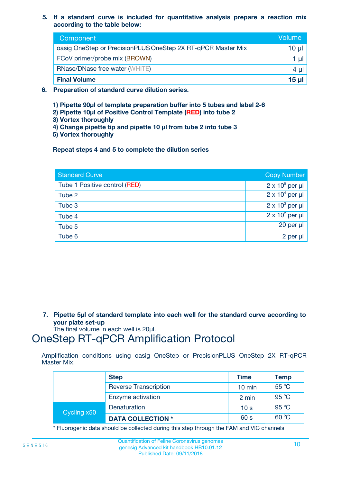**5. If a standard curve is included for quantitative analysis prepare a reaction mix according to the table below:**

| Component                                                    | Volume       |
|--------------------------------------------------------------|--------------|
| oasig OneStep or PrecisionPLUS OneStep 2X RT-qPCR Master Mix | $10 \mu$     |
| FCoV primer/probe mix (BROWN)                                |              |
| <b>RNase/DNase free water (WHITE)</b>                        | 4 U          |
| <b>Final Volume</b>                                          | <u>15 µl</u> |

- **6. Preparation of standard curve dilution series.**
	- **1) Pipette 90µl of template preparation buffer into 5 tubes and label 2-6**
	- **2) Pipette 10µl of Positive Control Template (RED) into tube 2**
	- **3) Vortex thoroughly**
	- **4) Change pipette tip and pipette 10 µl from tube 2 into tube 3**
	- **5) Vortex thoroughly**

**Repeat steps 4 and 5 to complete the dilution series**

| <b>Standard Curve</b>         | <b>Copy Number</b>     |
|-------------------------------|------------------------|
| Tube 1 Positive control (RED) | $2 \times 10^5$ per µl |
| Tube 2                        | $2 \times 10^4$ per µl |
| Tube 3                        | $2 \times 10^3$ per µl |
| Tube 4                        | $2 \times 10^2$ per µl |
| Tube 5                        | 20 per µl              |
| Tube 6                        | 2 per µl               |

**7. Pipette 5µl of standard template into each well for the standard curve according to your plate set-up**

The final volume in each well is 20µl.

### OneStep RT-qPCR Amplification Protocol

Amplification conditions using oasig OneStep or PrecisionPLUS OneStep 2X RT-qPCR Master Mix.

|             | <b>Step</b>                  | <b>Time</b>      | Temp  |
|-------------|------------------------------|------------------|-------|
|             | <b>Reverse Transcription</b> | $10 \text{ min}$ | 55 °C |
|             | Enzyme activation            | 2 min            | 95 °C |
| Cycling x50 | Denaturation                 | 10 <sub>s</sub>  | 95 °C |
|             | <b>DATA COLLECTION *</b>     | 60 s             | 60 °C |

\* Fluorogenic data should be collected during this step through the FAM and VIC channels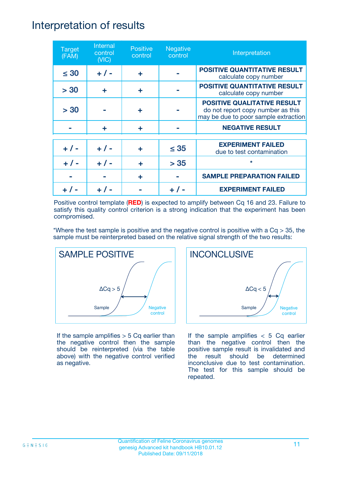### Interpretation of results

| <b>Target</b><br>(FAM) | Internal<br>control<br>(NIC) | <b>Positive</b><br>control | <b>Negative</b><br>control | Interpretation                                                                                                  |
|------------------------|------------------------------|----------------------------|----------------------------|-----------------------------------------------------------------------------------------------------------------|
| $\leq 30$              | $+ 1 -$                      | ÷                          |                            | <b>POSITIVE QUANTITATIVE RESULT</b><br>calculate copy number                                                    |
| > 30                   | ÷                            | ÷                          |                            | <b>POSITIVE QUANTITATIVE RESULT</b><br>calculate copy number                                                    |
| > 30                   |                              | ÷                          |                            | <b>POSITIVE QUALITATIVE RESULT</b><br>do not report copy number as this<br>may be due to poor sample extraction |
|                        | ÷                            | ÷                          |                            | <b>NEGATIVE RESULT</b>                                                                                          |
| $+ 1 -$                | $+ 1 -$                      | ÷                          | $\leq$ 35                  | <b>EXPERIMENT FAILED</b><br>due to test contamination                                                           |
|                        | $+$ / -                      |                            | > 35                       | $\star$                                                                                                         |
|                        |                              | ÷                          |                            | <b>SAMPLE PREPARATION FAILED</b>                                                                                |
|                        |                              |                            |                            | <b>EXPERIMENT FAILED</b>                                                                                        |

Positive control template (**RED**) is expected to amplify between Cq 16 and 23. Failure to satisfy this quality control criterion is a strong indication that the experiment has been compromised.

\*Where the test sample is positive and the negative control is positive with a  $Cq > 35$ , the sample must be reinterpreted based on the relative signal strength of the two results:



If the sample amplifies  $> 5$  Cq earlier than the negative control then the sample should be reinterpreted (via the table above) with the negative control verified as negative.



If the sample amplifies  $< 5$  Cq earlier than the negative control then the positive sample result is invalidated and the result should be determined inconclusive due to test contamination. The test for this sample should be repeated.